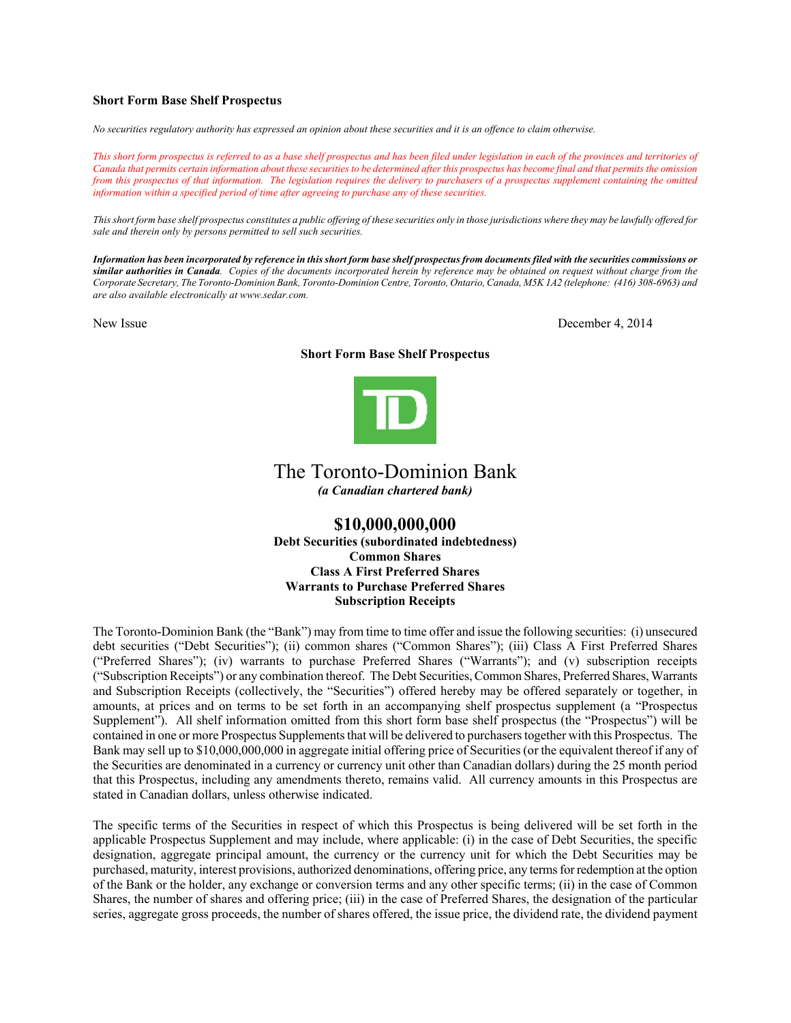# **Short Form Base Shelf Prospectus**

*No securities regulatory authority has expressed an opinion about these securities and it is an offence to claim otherwise.* 

*This short form prospectus is referred to as a base shelf prospectus and has been filed under legislation in each of the provinces and territories of Canada that permits certain information about these securities to be determined after this prospectus has become final and that permits the omission from this prospectus of that information. The legislation requires the delivery to purchasers of a prospectus supplement containing the omitted information within a specified period of time after agreeing to purchase any of these securities.* 

*This short form base shelf prospectus constitutes a public offering of these securities only in those jurisdictions where they may be lawfully offered for sale and therein only by persons permitted to sell such securities.* 

*Information has been incorporated by reference in this short form base shelf prospectus from documents filed with the securities commissions or similar authorities in Canada. Copies of the documents incorporated herein by reference may be obtained on request without charge from the Corporate Secretary, The Toronto-Dominion Bank, Toronto-Dominion Centre, Toronto, Ontario, Canada, M5K 1A2 (telephone: (416) 308-6963) and are also available electronically at www.sedar.com.* 

New Issue December 4, 2014

#### **Short Form Base Shelf Prospectus**



# The Toronto-Dominion Bank

*(a Canadian chartered bank)*

# **\$10,000,000,000**

**Debt Securities (subordinated indebtedness) Common Shares Class A First Preferred Shares Warrants to Purchase Preferred Shares Subscription Receipts** 

The Toronto-Dominion Bank (the "Bank") may from time to time offer and issue the following securities: (i) unsecured debt securities ("Debt Securities"); (ii) common shares ("Common Shares"); (iii) Class A First Preferred Shares ("Preferred Shares"); (iv) warrants to purchase Preferred Shares ("Warrants"); and (v) subscription receipts ("Subscription Receipts") or any combination thereof. The Debt Securities, Common Shares, Preferred Shares, Warrants and Subscription Receipts (collectively, the "Securities") offered hereby may be offered separately or together, in amounts, at prices and on terms to be set forth in an accompanying shelf prospectus supplement (a "Prospectus Supplement"). All shelf information omitted from this short form base shelf prospectus (the "Prospectus") will be contained in one or more Prospectus Supplements that will be delivered to purchasers together with this Prospectus. The Bank may sell up to \$10,000,000,000 in aggregate initial offering price of Securities (or the equivalent thereof if any of the Securities are denominated in a currency or currency unit other than Canadian dollars) during the 25 month period that this Prospectus, including any amendments thereto, remains valid. All currency amounts in this Prospectus are stated in Canadian dollars, unless otherwise indicated.

The specific terms of the Securities in respect of which this Prospectus is being delivered will be set forth in the applicable Prospectus Supplement and may include, where applicable: (i) in the case of Debt Securities, the specific designation, aggregate principal amount, the currency or the currency unit for which the Debt Securities may be purchased, maturity, interest provisions, authorized denominations, offering price, any terms for redemption at the option of the Bank or the holder, any exchange or conversion terms and any other specific terms; (ii) in the case of Common Shares, the number of shares and offering price; (iii) in the case of Preferred Shares, the designation of the particular series, aggregate gross proceeds, the number of shares offered, the issue price, the dividend rate, the dividend payment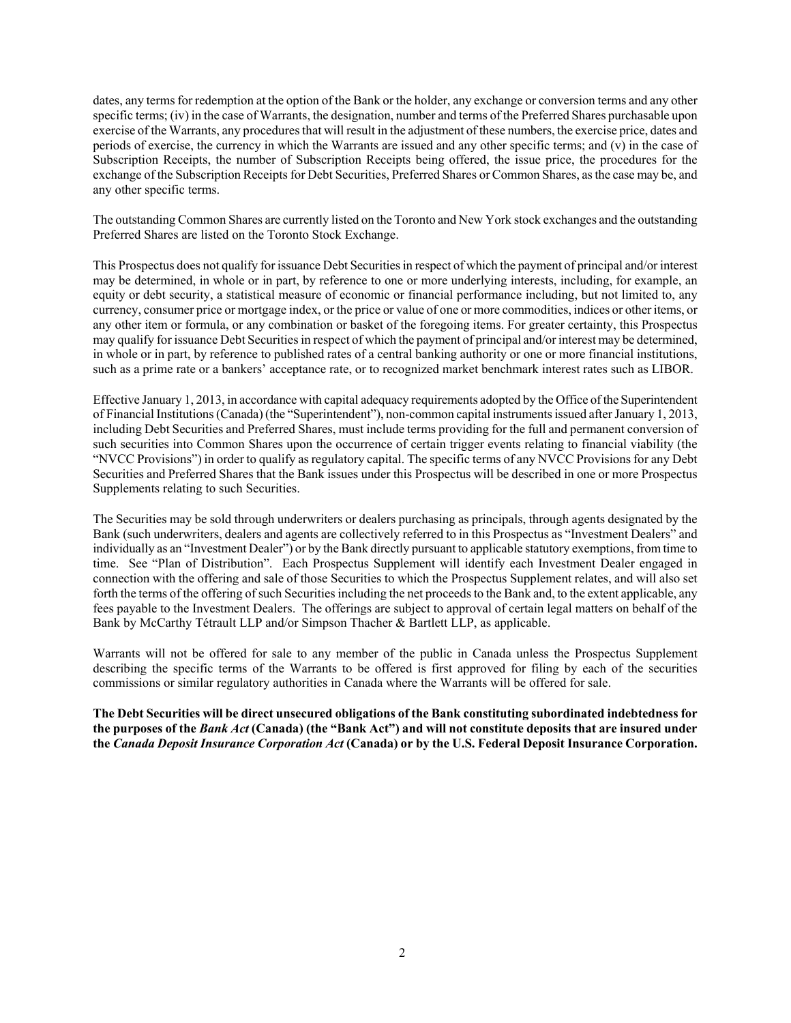dates, any terms for redemption at the option of the Bank or the holder, any exchange or conversion terms and any other specific terms; (iv) in the case of Warrants, the designation, number and terms of the Preferred Shares purchasable upon exercise of the Warrants, any procedures that will result in the adjustment of these numbers, the exercise price, dates and periods of exercise, the currency in which the Warrants are issued and any other specific terms; and  $(v)$  in the case of Subscription Receipts, the number of Subscription Receipts being offered, the issue price, the procedures for the exchange of the Subscription Receipts for Debt Securities, Preferred Shares or Common Shares, as the case may be, and any other specific terms.

The outstanding Common Shares are currently listed on the Toronto and New York stock exchanges and the outstanding Preferred Shares are listed on the Toronto Stock Exchange.

This Prospectus does not qualify for issuance Debt Securities in respect of which the payment of principal and/or interest may be determined, in whole or in part, by reference to one or more underlying interests, including, for example, an equity or debt security, a statistical measure of economic or financial performance including, but not limited to, any currency, consumer price or mortgage index, or the price or value of one or more commodities, indices or other items, or any other item or formula, or any combination or basket of the foregoing items. For greater certainty, this Prospectus may qualify for issuance Debt Securities in respect of which the payment of principal and/or interest may be determined, in whole or in part, by reference to published rates of a central banking authority or one or more financial institutions, such as a prime rate or a bankers' acceptance rate, or to recognized market benchmark interest rates such as LIBOR.

Effective January 1, 2013, in accordance with capital adequacy requirements adopted by the Office of the Superintendent of Financial Institutions (Canada) (the "Superintendent"), non-common capital instruments issued after January 1, 2013, including Debt Securities and Preferred Shares, must include terms providing for the full and permanent conversion of such securities into Common Shares upon the occurrence of certain trigger events relating to financial viability (the "NVCC Provisions") in order to qualify as regulatory capital. The specific terms of any NVCC Provisions for any Debt Securities and Preferred Shares that the Bank issues under this Prospectus will be described in one or more Prospectus Supplements relating to such Securities.

The Securities may be sold through underwriters or dealers purchasing as principals, through agents designated by the Bank (such underwriters, dealers and agents are collectively referred to in this Prospectus as "Investment Dealers" and individually as an "Investment Dealer") or by the Bank directly pursuant to applicable statutory exemptions, from time to time. See "Plan of Distribution". Each Prospectus Supplement will identify each Investment Dealer engaged in connection with the offering and sale of those Securities to which the Prospectus Supplement relates, and will also set forth the terms of the offering of such Securities including the net proceeds to the Bank and, to the extent applicable, any fees payable to the Investment Dealers. The offerings are subject to approval of certain legal matters on behalf of the Bank by McCarthy Tétrault LLP and/or Simpson Thacher & Bartlett LLP, as applicable.

Warrants will not be offered for sale to any member of the public in Canada unless the Prospectus Supplement describing the specific terms of the Warrants to be offered is first approved for filing by each of the securities commissions or similar regulatory authorities in Canada where the Warrants will be offered for sale.

**The Debt Securities will be direct unsecured obligations of the Bank constituting subordinated indebtedness for the purposes of the** *Bank Act* **(Canada) (the "Bank Act") and will not constitute deposits that are insured under the** *Canada Deposit Insurance Corporation Act* **(Canada) or by the U.S. Federal Deposit Insurance Corporation.**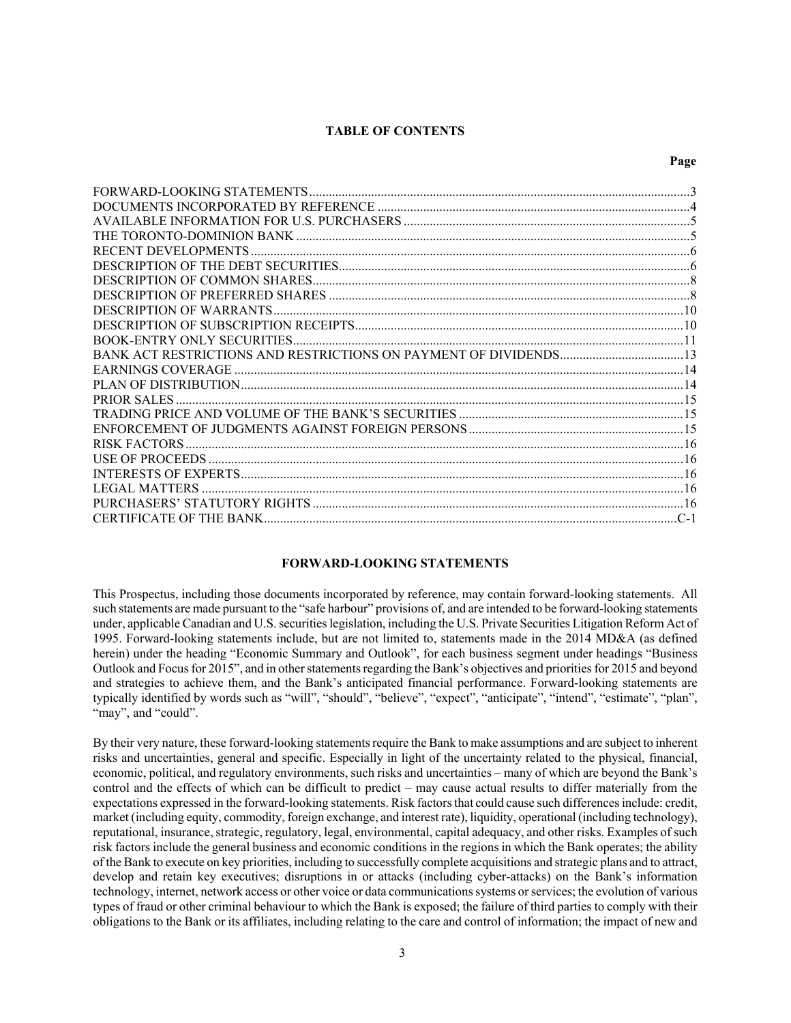## **TABLE OF CONTENTS**

#### **Page**

| RECENT DEVELOPMENTS         |       |
|-----------------------------|-------|
|                             |       |
|                             |       |
|                             |       |
|                             |       |
|                             |       |
| BOOK-ENTRY ONLY SECURITIES. |       |
|                             |       |
| EARNINGS COVERAGE           |       |
|                             |       |
| PRIOR SALES                 |       |
|                             |       |
|                             |       |
| RISK FACTORS                |       |
|                             |       |
|                             |       |
| <b>LEGAL MATTERS</b>        |       |
|                             |       |
| CERTIFICATE OF THE BANK     | $C-1$ |
|                             |       |

# **FORWARD-LOOKING STATEMENTS**

This Prospectus, including those documents incorporated by reference, may contain forward-looking statements. All such statements are made pursuant to the "safe harbour" provisions of, and are intended to be forward-looking statements under, applicable Canadian and U.S. securities legislation, including the U.S. Private Securities Litigation Reform Act of 1995. Forward-looking statements include, but are not limited to, statements made in the 2014 MD&A (as defined herein) under the heading "Economic Summary and Outlook", for each business segment under headings "Business Outlook and Focus for 2015", and in other statements regarding the Bank's objectives and priorities for 2015 and beyond and strategies to achieve them, and the Bank's anticipated financial performance. Forward-looking statements are typically identified by words such as "will", "should", "believe", "expect", "anticipate", "intend", "estimate", "plan", "may", and "could".

By their very nature, these forward-looking statements require the Bank to make assumptions and are subject to inherent risks and uncertainties, general and specific. Especially in light of the uncertainty related to the physical, financial, economic, political, and regulatory environments, such risks and uncertainties – many of which are beyond the Bank's control and the effects of which can be difficult to predict – may cause actual results to differ materially from the expectations expressed in the forward-looking statements. Risk factors that could cause such differences include: credit, market (including equity, commodity, foreign exchange, and interest rate), liquidity, operational (including technology), reputational, insurance, strategic, regulatory, legal, environmental, capital adequacy, and other risks. Examples of such risk factors include the general business and economic conditions in the regions in which the Bank operates; the ability of the Bank to execute on key priorities, including to successfully complete acquisitions and strategic plans and to attract, develop and retain key executives; disruptions in or attacks (including cyber-attacks) on the Bank's information technology, internet, network access or other voice or data communications systems or services; the evolution of various types of fraud or other criminal behaviour to which the Bank is exposed; the failure of third parties to comply with their obligations to the Bank or its affiliates, including relating to the care and control of information; the impact of new and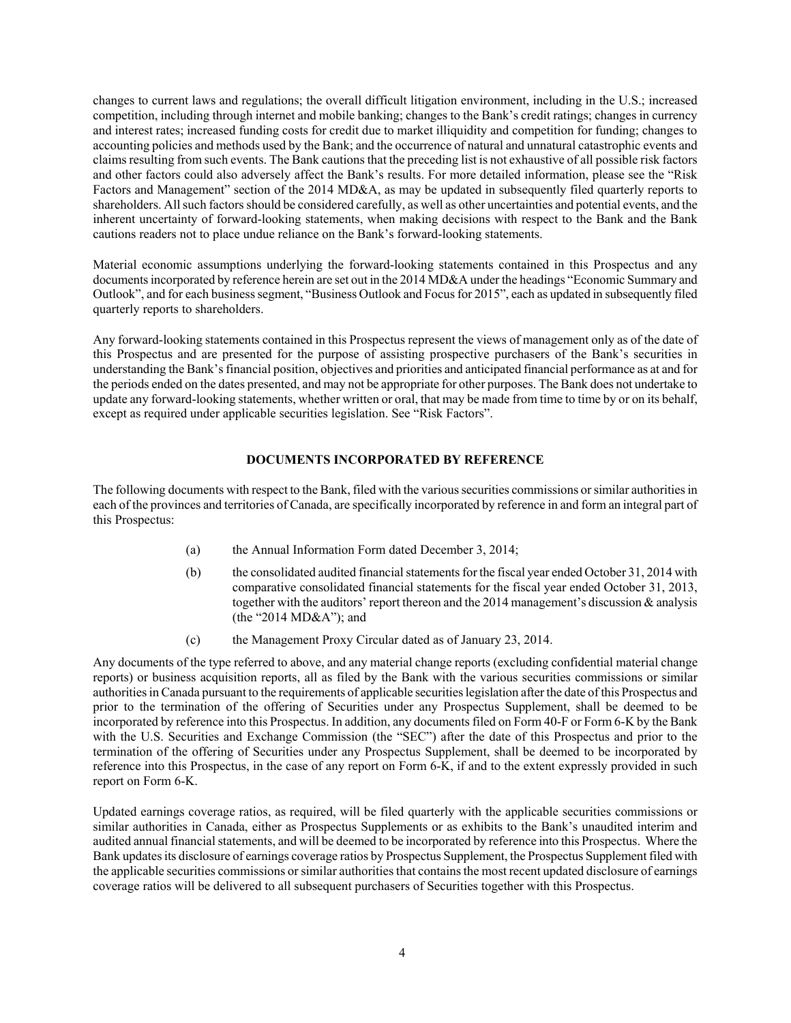changes to current laws and regulations; the overall difficult litigation environment, including in the U.S.; increased competition, including through internet and mobile banking; changes to the Bank's credit ratings; changes in currency and interest rates; increased funding costs for credit due to market illiquidity and competition for funding; changes to accounting policies and methods used by the Bank; and the occurrence of natural and unnatural catastrophic events and claims resulting from such events. The Bank cautions that the preceding list is not exhaustive of all possible risk factors and other factors could also adversely affect the Bank's results. For more detailed information, please see the "Risk Factors and Management" section of the 2014 MD&A, as may be updated in subsequently filed quarterly reports to shareholders. All such factors should be considered carefully, as well as other uncertainties and potential events, and the inherent uncertainty of forward-looking statements, when making decisions with respect to the Bank and the Bank cautions readers not to place undue reliance on the Bank's forward-looking statements.

Material economic assumptions underlying the forward-looking statements contained in this Prospectus and any documents incorporated by reference herein are set out in the 2014 MD&A under the headings "Economic Summary and Outlook", and for each business segment, "Business Outlook and Focus for 2015", each as updated in subsequently filed quarterly reports to shareholders.

Any forward-looking statements contained in this Prospectus represent the views of management only as of the date of this Prospectus and are presented for the purpose of assisting prospective purchasers of the Bank's securities in understanding the Bank's financial position, objectives and priorities and anticipated financial performance as at and for the periods ended on the dates presented, and may not be appropriate for other purposes. The Bank does not undertake to update any forward-looking statements, whether written or oral, that may be made from time to time by or on its behalf, except as required under applicable securities legislation. See "Risk Factors".

# **DOCUMENTS INCORPORATED BY REFERENCE**

The following documents with respect to the Bank, filed with the various securities commissions or similar authorities in each of the provinces and territories of Canada, are specifically incorporated by reference in and form an integral part of this Prospectus:

- (a) the Annual Information Form dated December 3, 2014;
- (b) the consolidated audited financial statements for the fiscal year ended October 31, 2014 with comparative consolidated financial statements for the fiscal year ended October 31, 2013, together with the auditors' report thereon and the 2014 management's discussion & analysis (the "2014 MD&A"); and
- (c) the Management Proxy Circular dated as of January 23, 2014.

Any documents of the type referred to above, and any material change reports (excluding confidential material change reports) or business acquisition reports, all as filed by the Bank with the various securities commissions or similar authorities in Canada pursuant to the requirements of applicable securities legislation after the date of this Prospectus and prior to the termination of the offering of Securities under any Prospectus Supplement, shall be deemed to be incorporated by reference into this Prospectus. In addition, any documents filed on Form 40-F or Form 6-K by the Bank with the U.S. Securities and Exchange Commission (the "SEC") after the date of this Prospectus and prior to the termination of the offering of Securities under any Prospectus Supplement, shall be deemed to be incorporated by reference into this Prospectus, in the case of any report on Form 6-K, if and to the extent expressly provided in such report on Form 6-K.

Updated earnings coverage ratios, as required, will be filed quarterly with the applicable securities commissions or similar authorities in Canada, either as Prospectus Supplements or as exhibits to the Bank's unaudited interim and audited annual financial statements, and will be deemed to be incorporated by reference into this Prospectus. Where the Bank updates its disclosure of earnings coverage ratios by Prospectus Supplement, the Prospectus Supplement filed with the applicable securities commissions or similar authorities that contains the most recent updated disclosure of earnings coverage ratios will be delivered to all subsequent purchasers of Securities together with this Prospectus.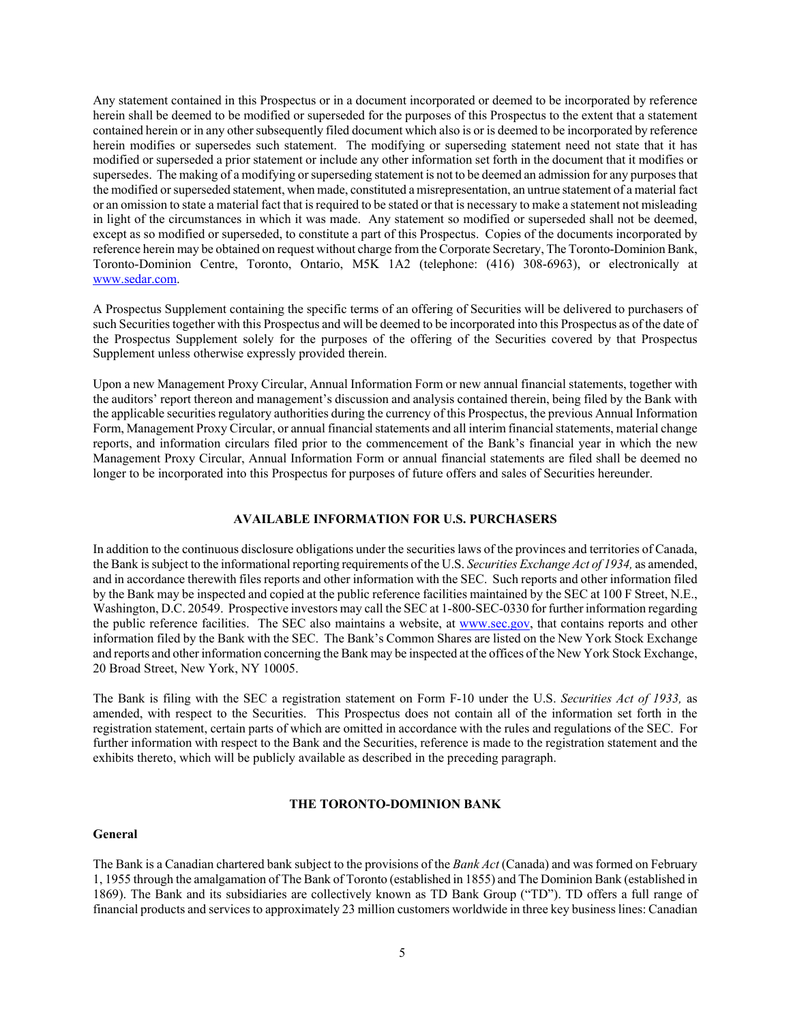Any statement contained in this Prospectus or in a document incorporated or deemed to be incorporated by reference herein shall be deemed to be modified or superseded for the purposes of this Prospectus to the extent that a statement contained herein or in any other subsequently filed document which also is or is deemed to be incorporated by reference herein modifies or supersedes such statement. The modifying or superseding statement need not state that it has modified or superseded a prior statement or include any other information set forth in the document that it modifies or supersedes. The making of a modifying or superseding statement is not to be deemed an admission for any purposes that the modified or superseded statement, when made, constituted a misrepresentation, an untrue statement of a material fact or an omission to state a material fact that is required to be stated or that is necessary to make a statement not misleading in light of the circumstances in which it was made. Any statement so modified or superseded shall not be deemed, except as so modified or superseded, to constitute a part of this Prospectus. Copies of the documents incorporated by reference herein may be obtained on request without charge from the Corporate Secretary, The Toronto-Dominion Bank, Toronto-Dominion Centre, Toronto, Ontario, M5K 1A2 (telephone: (416) 308-6963), or electronically at www.sedar.com.

A Prospectus Supplement containing the specific terms of an offering of Securities will be delivered to purchasers of such Securities together with this Prospectus and will be deemed to be incorporated into this Prospectus as of the date of the Prospectus Supplement solely for the purposes of the offering of the Securities covered by that Prospectus Supplement unless otherwise expressly provided therein.

Upon a new Management Proxy Circular, Annual Information Form or new annual financial statements, together with the auditors' report thereon and management's discussion and analysis contained therein, being filed by the Bank with the applicable securities regulatory authorities during the currency of this Prospectus, the previous Annual Information Form, Management Proxy Circular, or annual financial statements and all interim financial statements, material change reports, and information circulars filed prior to the commencement of the Bank's financial year in which the new Management Proxy Circular, Annual Information Form or annual financial statements are filed shall be deemed no longer to be incorporated into this Prospectus for purposes of future offers and sales of Securities hereunder.

# **AVAILABLE INFORMATION FOR U.S. PURCHASERS**

In addition to the continuous disclosure obligations under the securities laws of the provinces and territories of Canada, the Bank is subject to the informational reporting requirements of the U.S. *Securities Exchange Act of 1934,* as amended, and in accordance therewith files reports and other information with the SEC. Such reports and other information filed by the Bank may be inspected and copied at the public reference facilities maintained by the SEC at 100 F Street, N.E., Washington, D.C. 20549. Prospective investors may call the SEC at 1-800-SEC-0330 for further information regarding the public reference facilities. The SEC also maintains a website, at www.sec.gov, that contains reports and other information filed by the Bank with the SEC. The Bank's Common Shares are listed on the New York Stock Exchange and reports and other information concerning the Bank may be inspected at the offices of the New York Stock Exchange, 20 Broad Street, New York, NY 10005.

The Bank is filing with the SEC a registration statement on Form F-10 under the U.S. *Securities Act of 1933,* as amended, with respect to the Securities. This Prospectus does not contain all of the information set forth in the registration statement, certain parts of which are omitted in accordance with the rules and regulations of the SEC. For further information with respect to the Bank and the Securities, reference is made to the registration statement and the exhibits thereto, which will be publicly available as described in the preceding paragraph.

# **THE TORONTO-DOMINION BANK**

## **General**

The Bank is a Canadian chartered bank subject to the provisions of the *Bank Act* (Canada) and was formed on February 1, 1955 through the amalgamation of The Bank of Toronto (established in 1855) and The Dominion Bank (established in 1869). The Bank and its subsidiaries are collectively known as TD Bank Group ("TD"). TD offers a full range of financial products and services to approximately 23 million customers worldwide in three key business lines: Canadian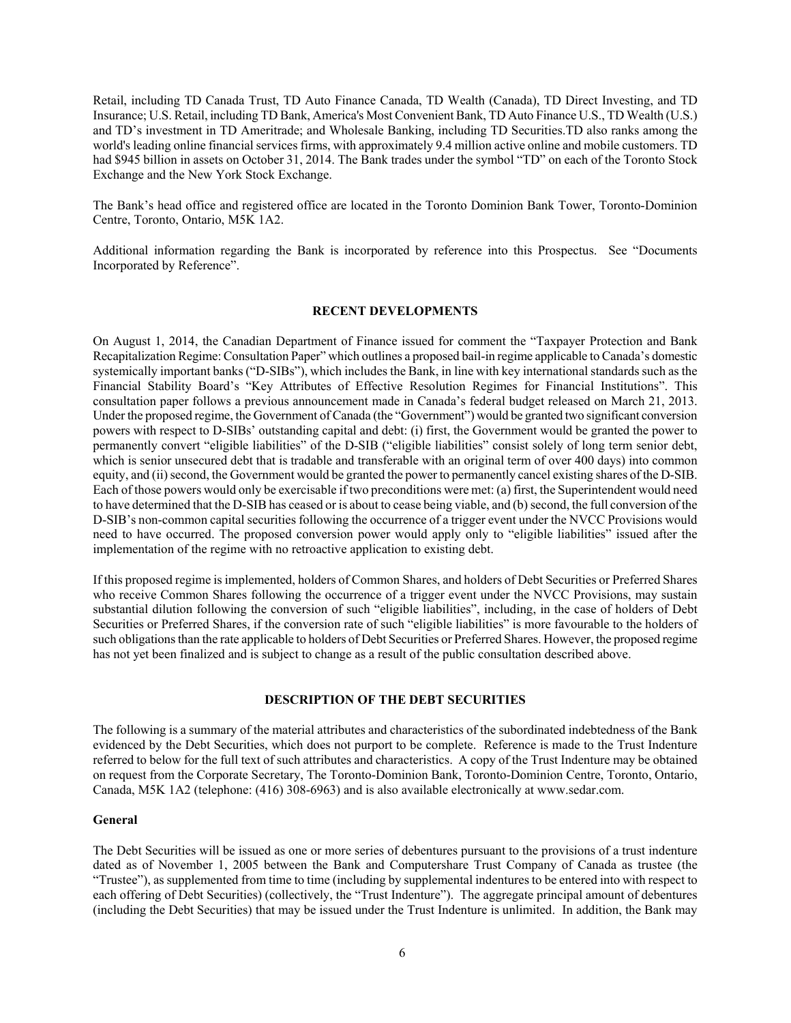Retail, including TD Canada Trust, TD Auto Finance Canada, TD Wealth (Canada), TD Direct Investing, and TD Insurance; U.S. Retail, including TD Bank, America's Most Convenient Bank, TD Auto Finance U.S., TD Wealth (U.S.) and TD's investment in TD Ameritrade; and Wholesale Banking, including TD Securities.TD also ranks among the world's leading online financial services firms, with approximately 9.4 million active online and mobile customers. TD had \$945 billion in assets on October 31, 2014. The Bank trades under the symbol "TD" on each of the Toronto Stock Exchange and the New York Stock Exchange.

The Bank's head office and registered office are located in the Toronto Dominion Bank Tower, Toronto-Dominion Centre, Toronto, Ontario, M5K 1A2.

Additional information regarding the Bank is incorporated by reference into this Prospectus. See "Documents Incorporated by Reference".

#### **RECENT DEVELOPMENTS**

On August 1, 2014, the Canadian Department of Finance issued for comment the "Taxpayer Protection and Bank Recapitalization Regime: Consultation Paper" which outlines a proposed bail-in regime applicable to Canada's domestic systemically important banks ("D-SIBs"), which includes the Bank, in line with key international standards such as the Financial Stability Board's "Key Attributes of Effective Resolution Regimes for Financial Institutions". This consultation paper follows a previous announcement made in Canada's federal budget released on March 21, 2013. Under the proposed regime, the Government of Canada (the "Government") would be granted two significant conversion powers with respect to D-SIBs' outstanding capital and debt: (i) first, the Government would be granted the power to permanently convert "eligible liabilities" of the D-SIB ("eligible liabilities" consist solely of long term senior debt, which is senior unsecured debt that is tradable and transferable with an original term of over 400 days) into common equity, and (ii) second, the Government would be granted the power to permanently cancel existing shares of the D-SIB. Each of those powers would only be exercisable if two preconditions were met: (a) first, the Superintendent would need to have determined that the D-SIB has ceased or is about to cease being viable, and (b) second, the full conversion of the D-SIB's non-common capital securities following the occurrence of a trigger event under the NVCC Provisions would need to have occurred. The proposed conversion power would apply only to "eligible liabilities" issued after the implementation of the regime with no retroactive application to existing debt.

If this proposed regime is implemented, holders of Common Shares, and holders of Debt Securities or Preferred Shares who receive Common Shares following the occurrence of a trigger event under the NVCC Provisions, may sustain substantial dilution following the conversion of such "eligible liabilities", including, in the case of holders of Debt Securities or Preferred Shares, if the conversion rate of such "eligible liabilities" is more favourable to the holders of such obligations than the rate applicable to holders of Debt Securities or Preferred Shares. However, the proposed regime has not yet been finalized and is subject to change as a result of the public consultation described above.

# **DESCRIPTION OF THE DEBT SECURITIES**

The following is a summary of the material attributes and characteristics of the subordinated indebtedness of the Bank evidenced by the Debt Securities, which does not purport to be complete. Reference is made to the Trust Indenture referred to below for the full text of such attributes and characteristics. A copy of the Trust Indenture may be obtained on request from the Corporate Secretary, The Toronto-Dominion Bank, Toronto-Dominion Centre, Toronto, Ontario, Canada, M5K 1A2 (telephone: (416) 308-6963) and is also available electronically at www.sedar.com.

## **General**

The Debt Securities will be issued as one or more series of debentures pursuant to the provisions of a trust indenture dated as of November 1, 2005 between the Bank and Computershare Trust Company of Canada as trustee (the "Trustee"), as supplemented from time to time (including by supplemental indentures to be entered into with respect to each offering of Debt Securities) (collectively, the "Trust Indenture"). The aggregate principal amount of debentures (including the Debt Securities) that may be issued under the Trust Indenture is unlimited. In addition, the Bank may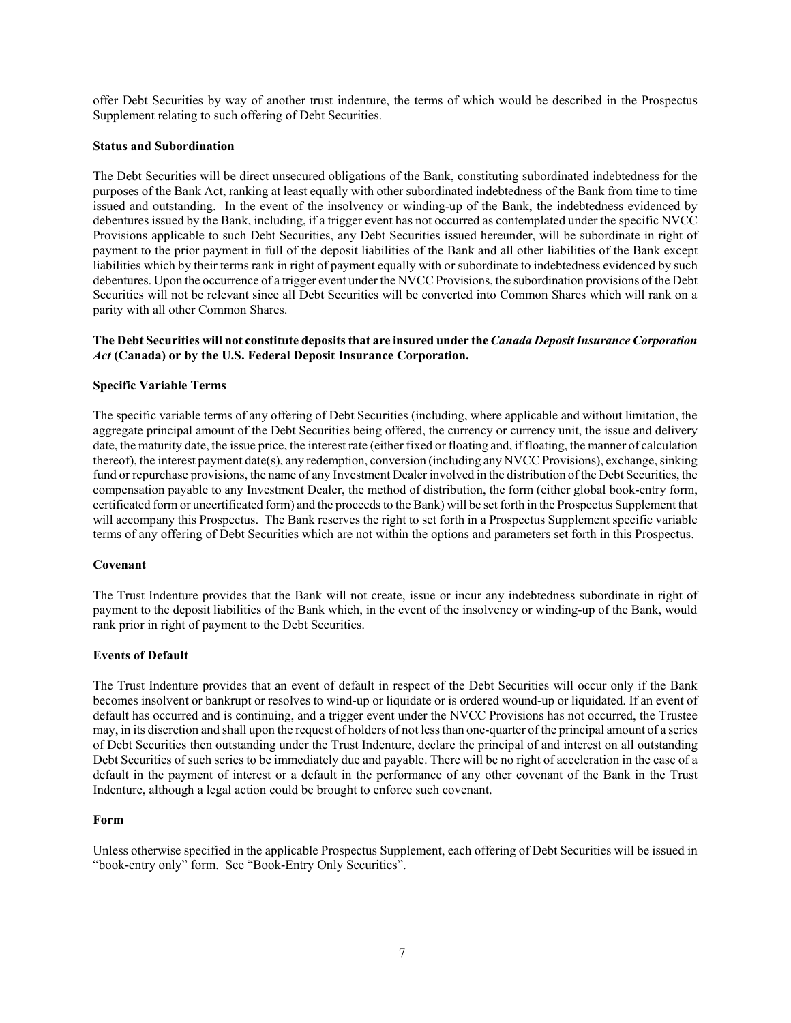offer Debt Securities by way of another trust indenture, the terms of which would be described in the Prospectus Supplement relating to such offering of Debt Securities.

# **Status and Subordination**

The Debt Securities will be direct unsecured obligations of the Bank, constituting subordinated indebtedness for the purposes of the Bank Act, ranking at least equally with other subordinated indebtedness of the Bank from time to time issued and outstanding. In the event of the insolvency or winding-up of the Bank, the indebtedness evidenced by debentures issued by the Bank, including, if a trigger event has not occurred as contemplated under the specific NVCC Provisions applicable to such Debt Securities, any Debt Securities issued hereunder, will be subordinate in right of payment to the prior payment in full of the deposit liabilities of the Bank and all other liabilities of the Bank except liabilities which by their terms rank in right of payment equally with or subordinate to indebtedness evidenced by such debentures. Upon the occurrence of a trigger event under the NVCC Provisions, the subordination provisions of the Debt Securities will not be relevant since all Debt Securities will be converted into Common Shares which will rank on a parity with all other Common Shares.

# **The Debt Securities will not constitute deposits that are insured under the** *Canada Deposit Insurance Corporation Act* **(Canada) or by the U.S. Federal Deposit Insurance Corporation.**

# **Specific Variable Terms**

The specific variable terms of any offering of Debt Securities (including, where applicable and without limitation, the aggregate principal amount of the Debt Securities being offered, the currency or currency unit, the issue and delivery date, the maturity date, the issue price, the interest rate (either fixed or floating and, if floating, the manner of calculation thereof), the interest payment date(s), any redemption, conversion (including any NVCC Provisions), exchange, sinking fund or repurchase provisions, the name of any Investment Dealer involved in the distribution of the Debt Securities, the compensation payable to any Investment Dealer, the method of distribution, the form (either global book-entry form, certificated form or uncertificated form) and the proceeds to the Bank) will be set forth in the Prospectus Supplement that will accompany this Prospectus. The Bank reserves the right to set forth in a Prospectus Supplement specific variable terms of any offering of Debt Securities which are not within the options and parameters set forth in this Prospectus.

## **Covenant**

The Trust Indenture provides that the Bank will not create, issue or incur any indebtedness subordinate in right of payment to the deposit liabilities of the Bank which, in the event of the insolvency or winding-up of the Bank, would rank prior in right of payment to the Debt Securities.

## **Events of Default**

The Trust Indenture provides that an event of default in respect of the Debt Securities will occur only if the Bank becomes insolvent or bankrupt or resolves to wind-up or liquidate or is ordered wound-up or liquidated. If an event of default has occurred and is continuing, and a trigger event under the NVCC Provisions has not occurred, the Trustee may, in its discretion and shall upon the request of holders of not less than one-quarter of the principal amount of a series of Debt Securities then outstanding under the Trust Indenture, declare the principal of and interest on all outstanding Debt Securities of such series to be immediately due and payable. There will be no right of acceleration in the case of a default in the payment of interest or a default in the performance of any other covenant of the Bank in the Trust Indenture, although a legal action could be brought to enforce such covenant.

## **Form**

Unless otherwise specified in the applicable Prospectus Supplement, each offering of Debt Securities will be issued in "book-entry only" form. See "Book-Entry Only Securities".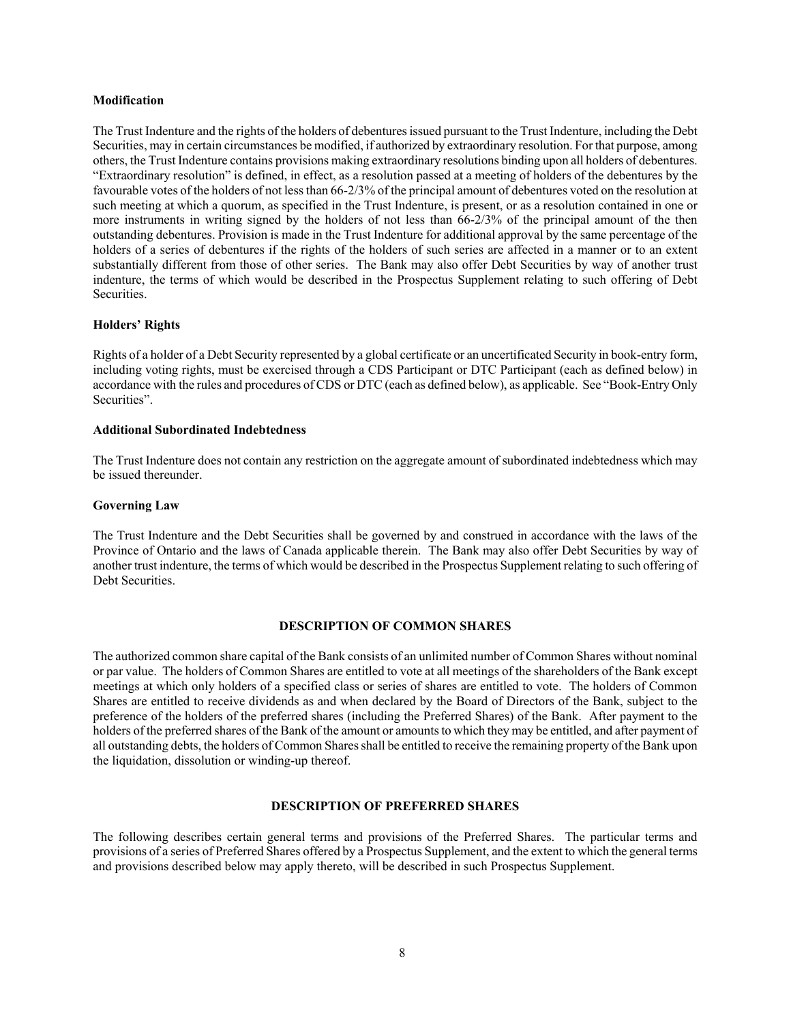### **Modification**

The Trust Indenture and the rights of the holders of debentures issued pursuant to the Trust Indenture, including the Debt Securities, may in certain circumstances be modified, if authorized by extraordinary resolution. For that purpose, among others, the Trust Indenture contains provisions making extraordinary resolutions binding upon all holders of debentures. "Extraordinary resolution" is defined, in effect, as a resolution passed at a meeting of holders of the debentures by the favourable votes of the holders of not less than 66-2/3% of the principal amount of debentures voted on the resolution at such meeting at which a quorum, as specified in the Trust Indenture, is present, or as a resolution contained in one or more instruments in writing signed by the holders of not less than 66-2/3% of the principal amount of the then outstanding debentures. Provision is made in the Trust Indenture for additional approval by the same percentage of the holders of a series of debentures if the rights of the holders of such series are affected in a manner or to an extent substantially different from those of other series. The Bank may also offer Debt Securities by way of another trust indenture, the terms of which would be described in the Prospectus Supplement relating to such offering of Debt Securities.

## **Holders' Rights**

Rights of a holder of a Debt Security represented by a global certificate or an uncertificated Security in book-entry form, including voting rights, must be exercised through a CDS Participant or DTC Participant (each as defined below) in accordance with the rules and procedures of CDS or DTC (each as defined below), as applicable. See "Book-Entry Only Securities".

#### **Additional Subordinated Indebtedness**

The Trust Indenture does not contain any restriction on the aggregate amount of subordinated indebtedness which may be issued thereunder.

## **Governing Law**

The Trust Indenture and the Debt Securities shall be governed by and construed in accordance with the laws of the Province of Ontario and the laws of Canada applicable therein. The Bank may also offer Debt Securities by way of another trust indenture, the terms of which would be described in the Prospectus Supplement relating to such offering of Debt Securities.

#### **DESCRIPTION OF COMMON SHARES**

The authorized common share capital of the Bank consists of an unlimited number of Common Shares without nominal or par value. The holders of Common Shares are entitled to vote at all meetings of the shareholders of the Bank except meetings at which only holders of a specified class or series of shares are entitled to vote. The holders of Common Shares are entitled to receive dividends as and when declared by the Board of Directors of the Bank, subject to the preference of the holders of the preferred shares (including the Preferred Shares) of the Bank. After payment to the holders of the preferred shares of the Bank of the amount or amounts to which they may be entitled, and after payment of all outstanding debts, the holders of Common Shares shall be entitled to receive the remaining property of the Bank upon the liquidation, dissolution or winding-up thereof.

## **DESCRIPTION OF PREFERRED SHARES**

The following describes certain general terms and provisions of the Preferred Shares. The particular terms and provisions of a series of Preferred Shares offered by a Prospectus Supplement, and the extent to which the general terms and provisions described below may apply thereto, will be described in such Prospectus Supplement.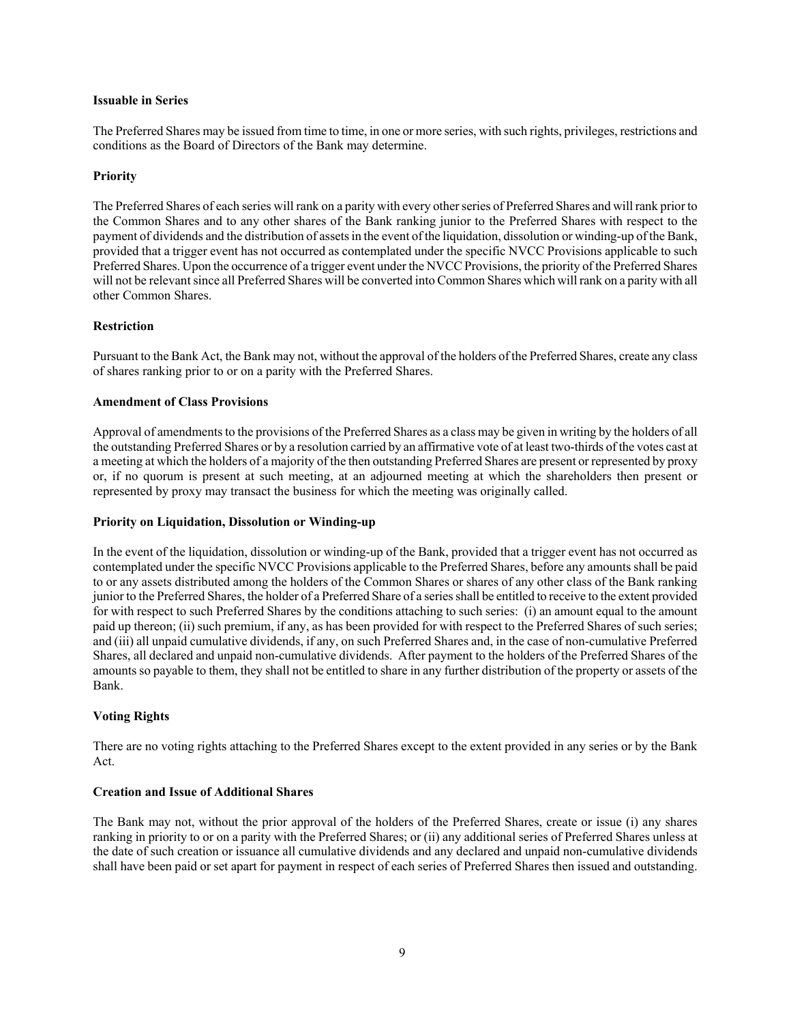# **Issuable in Series**

The Preferred Shares may be issued from time to time, in one or more series, with such rights, privileges, restrictions and conditions as the Board of Directors of the Bank may determine.

# **Priority**

The Preferred Shares of each series will rank on a parity with every other series of Preferred Shares and will rank prior to the Common Shares and to any other shares of the Bank ranking junior to the Preferred Shares with respect to the payment of dividends and the distribution of assets in the event of the liquidation, dissolution or winding-up of the Bank, provided that a trigger event has not occurred as contemplated under the specific NVCC Provisions applicable to such Preferred Shares. Upon the occurrence of a trigger event under the NVCC Provisions, the priority of the Preferred Shares will not be relevant since all Preferred Shares will be converted into Common Shares which will rank on a parity with all other Common Shares.

# **Restriction**

Pursuant to the Bank Act, the Bank may not, without the approval of the holders of the Preferred Shares, create any class of shares ranking prior to or on a parity with the Preferred Shares.

# **Amendment of Class Provisions**

Approval of amendments to the provisions of the Preferred Shares as a class may be given in writing by the holders of all the outstanding Preferred Shares or by a resolution carried by an affirmative vote of at least two-thirds of the votes cast at a meeting at which the holders of a majority of the then outstanding Preferred Shares are present or represented by proxy or, if no quorum is present at such meeting, at an adjourned meeting at which the shareholders then present or represented by proxy may transact the business for which the meeting was originally called.

## **Priority on Liquidation, Dissolution or Winding-up**

In the event of the liquidation, dissolution or winding-up of the Bank, provided that a trigger event has not occurred as contemplated under the specific NVCC Provisions applicable to the Preferred Shares, before any amounts shall be paid to or any assets distributed among the holders of the Common Shares or shares of any other class of the Bank ranking junior to the Preferred Shares, the holder of a Preferred Share of a series shall be entitled to receive to the extent provided for with respect to such Preferred Shares by the conditions attaching to such series: (i) an amount equal to the amount paid up thereon; (ii) such premium, if any, as has been provided for with respect to the Preferred Shares of such series; and (iii) all unpaid cumulative dividends, if any, on such Preferred Shares and, in the case of non-cumulative Preferred Shares, all declared and unpaid non-cumulative dividends. After payment to the holders of the Preferred Shares of the amounts so payable to them, they shall not be entitled to share in any further distribution of the property or assets of the Bank.

# **Voting Rights**

There are no voting rights attaching to the Preferred Shares except to the extent provided in any series or by the Bank Act.

# **Creation and Issue of Additional Shares**

The Bank may not, without the prior approval of the holders of the Preferred Shares, create or issue (i) any shares ranking in priority to or on a parity with the Preferred Shares; or (ii) any additional series of Preferred Shares unless at the date of such creation or issuance all cumulative dividends and any declared and unpaid non-cumulative dividends shall have been paid or set apart for payment in respect of each series of Preferred Shares then issued and outstanding.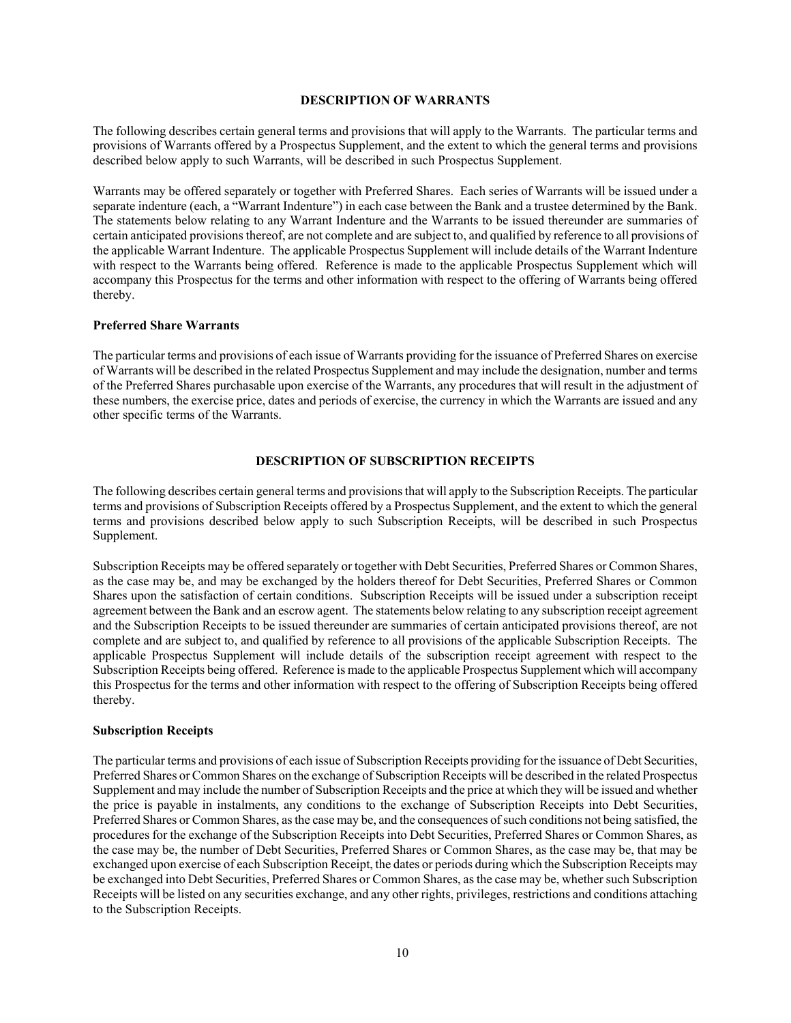# **DESCRIPTION OF WARRANTS**

The following describes certain general terms and provisions that will apply to the Warrants. The particular terms and provisions of Warrants offered by a Prospectus Supplement, and the extent to which the general terms and provisions described below apply to such Warrants, will be described in such Prospectus Supplement.

Warrants may be offered separately or together with Preferred Shares. Each series of Warrants will be issued under a separate indenture (each, a "Warrant Indenture") in each case between the Bank and a trustee determined by the Bank. The statements below relating to any Warrant Indenture and the Warrants to be issued thereunder are summaries of certain anticipated provisions thereof, are not complete and are subject to, and qualified by reference to all provisions of the applicable Warrant Indenture. The applicable Prospectus Supplement will include details of the Warrant Indenture with respect to the Warrants being offered. Reference is made to the applicable Prospectus Supplement which will accompany this Prospectus for the terms and other information with respect to the offering of Warrants being offered thereby.

## **Preferred Share Warrants**

The particular terms and provisions of each issue of Warrants providing for the issuance of Preferred Shares on exercise of Warrants will be described in the related Prospectus Supplement and may include the designation, number and terms of the Preferred Shares purchasable upon exercise of the Warrants, any procedures that will result in the adjustment of these numbers, the exercise price, dates and periods of exercise, the currency in which the Warrants are issued and any other specific terms of the Warrants.

## **DESCRIPTION OF SUBSCRIPTION RECEIPTS**

The following describes certain general terms and provisions that will apply to the Subscription Receipts. The particular terms and provisions of Subscription Receipts offered by a Prospectus Supplement, and the extent to which the general terms and provisions described below apply to such Subscription Receipts, will be described in such Prospectus Supplement.

Subscription Receipts may be offered separately or together with Debt Securities, Preferred Shares or Common Shares, as the case may be, and may be exchanged by the holders thereof for Debt Securities, Preferred Shares or Common Shares upon the satisfaction of certain conditions. Subscription Receipts will be issued under a subscription receipt agreement between the Bank and an escrow agent. The statements below relating to any subscription receipt agreement and the Subscription Receipts to be issued thereunder are summaries of certain anticipated provisions thereof, are not complete and are subject to, and qualified by reference to all provisions of the applicable Subscription Receipts. The applicable Prospectus Supplement will include details of the subscription receipt agreement with respect to the Subscription Receipts being offered. Reference is made to the applicable Prospectus Supplement which will accompany this Prospectus for the terms and other information with respect to the offering of Subscription Receipts being offered thereby.

#### **Subscription Receipts**

The particular terms and provisions of each issue of Subscription Receipts providing for the issuance of Debt Securities, Preferred Shares or Common Shares on the exchange of Subscription Receipts will be described in the related Prospectus Supplement and may include the number of Subscription Receipts and the price at which they will be issued and whether the price is payable in instalments, any conditions to the exchange of Subscription Receipts into Debt Securities, Preferred Shares or Common Shares, as the case may be, and the consequences of such conditions not being satisfied, the procedures for the exchange of the Subscription Receipts into Debt Securities, Preferred Shares or Common Shares, as the case may be, the number of Debt Securities, Preferred Shares or Common Shares, as the case may be, that may be exchanged upon exercise of each Subscription Receipt, the dates or periods during which the Subscription Receipts may be exchanged into Debt Securities, Preferred Shares or Common Shares, as the case may be, whether such Subscription Receipts will be listed on any securities exchange, and any other rights, privileges, restrictions and conditions attaching to the Subscription Receipts.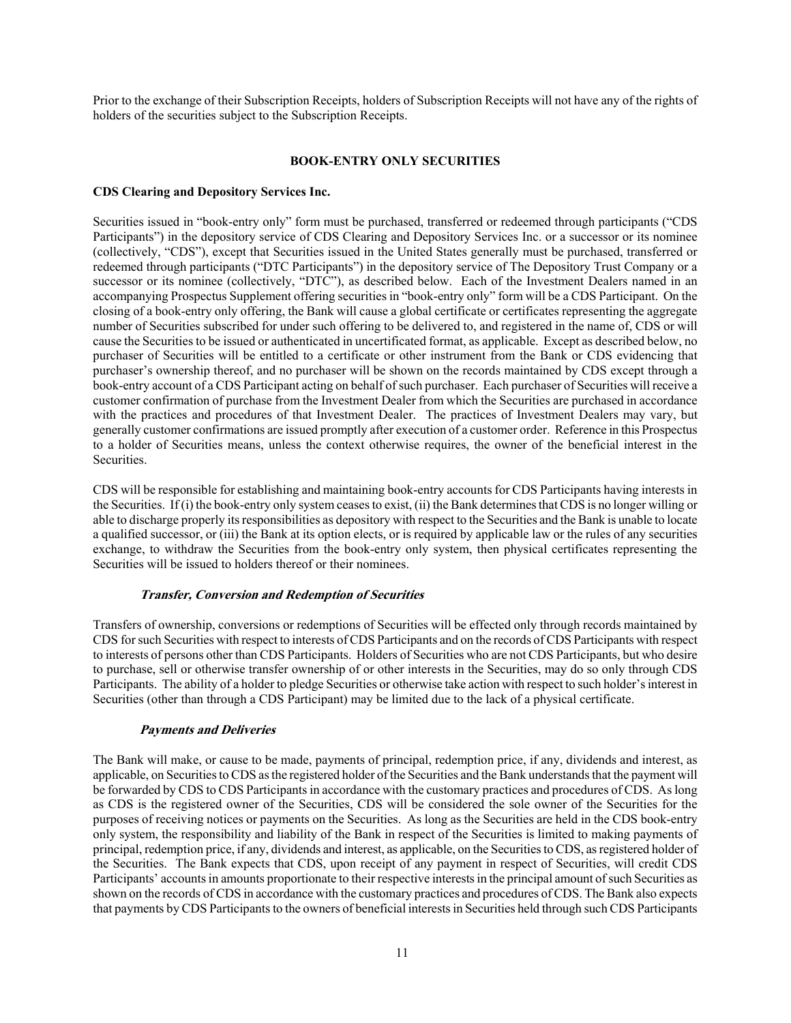Prior to the exchange of their Subscription Receipts, holders of Subscription Receipts will not have any of the rights of holders of the securities subject to the Subscription Receipts.

# **BOOK-ENTRY ONLY SECURITIES**

# **CDS Clearing and Depository Services Inc.**

Securities issued in "book-entry only" form must be purchased, transferred or redeemed through participants ("CDS Participants") in the depository service of CDS Clearing and Depository Services Inc. or a successor or its nominee (collectively, "CDS"), except that Securities issued in the United States generally must be purchased, transferred or redeemed through participants ("DTC Participants") in the depository service of The Depository Trust Company or a successor or its nominee (collectively, "DTC"), as described below. Each of the Investment Dealers named in an accompanying Prospectus Supplement offering securities in "book-entry only" form will be a CDS Participant. On the closing of a book-entry only offering, the Bank will cause a global certificate or certificates representing the aggregate number of Securities subscribed for under such offering to be delivered to, and registered in the name of, CDS or will cause the Securities to be issued or authenticated in uncertificated format, as applicable. Except as described below, no purchaser of Securities will be entitled to a certificate or other instrument from the Bank or CDS evidencing that purchaser's ownership thereof, and no purchaser will be shown on the records maintained by CDS except through a book-entry account of a CDS Participant acting on behalf of such purchaser. Each purchaser of Securities will receive a customer confirmation of purchase from the Investment Dealer from which the Securities are purchased in accordance with the practices and procedures of that Investment Dealer. The practices of Investment Dealers may vary, but generally customer confirmations are issued promptly after execution of a customer order. Reference in this Prospectus to a holder of Securities means, unless the context otherwise requires, the owner of the beneficial interest in the Securities.

CDS will be responsible for establishing and maintaining book-entry accounts for CDS Participants having interests in the Securities. If (i) the book-entry only system ceases to exist, (ii) the Bank determines that CDS is no longer willing or able to discharge properly its responsibilities as depository with respect to the Securities and the Bank is unable to locate a qualified successor, or (iii) the Bank at its option elects, or is required by applicable law or the rules of any securities exchange, to withdraw the Securities from the book-entry only system, then physical certificates representing the Securities will be issued to holders thereof or their nominees.

# **Transfer, Conversion and Redemption of Securities**

Transfers of ownership, conversions or redemptions of Securities will be effected only through records maintained by CDS for such Securities with respect to interests of CDS Participants and on the records of CDS Participants with respect to interests of persons other than CDS Participants. Holders of Securities who are not CDS Participants, but who desire to purchase, sell or otherwise transfer ownership of or other interests in the Securities, may do so only through CDS Participants. The ability of a holder to pledge Securities or otherwise take action with respect to such holder's interest in Securities (other than through a CDS Participant) may be limited due to the lack of a physical certificate.

## **Payments and Deliveries**

The Bank will make, or cause to be made, payments of principal, redemption price, if any, dividends and interest, as applicable, on Securities to CDS as the registered holder of the Securities and the Bank understands that the payment will be forwarded by CDS to CDS Participants in accordance with the customary practices and procedures of CDS. As long as CDS is the registered owner of the Securities, CDS will be considered the sole owner of the Securities for the purposes of receiving notices or payments on the Securities. As long as the Securities are held in the CDS book-entry only system, the responsibility and liability of the Bank in respect of the Securities is limited to making payments of principal, redemption price, if any, dividends and interest, as applicable, on the Securities to CDS, as registered holder of the Securities. The Bank expects that CDS, upon receipt of any payment in respect of Securities, will credit CDS Participants' accounts in amounts proportionate to their respective interests in the principal amount of such Securities as shown on the records of CDS in accordance with the customary practices and procedures of CDS. The Bank also expects that payments by CDS Participants to the owners of beneficial interests in Securities held through such CDS Participants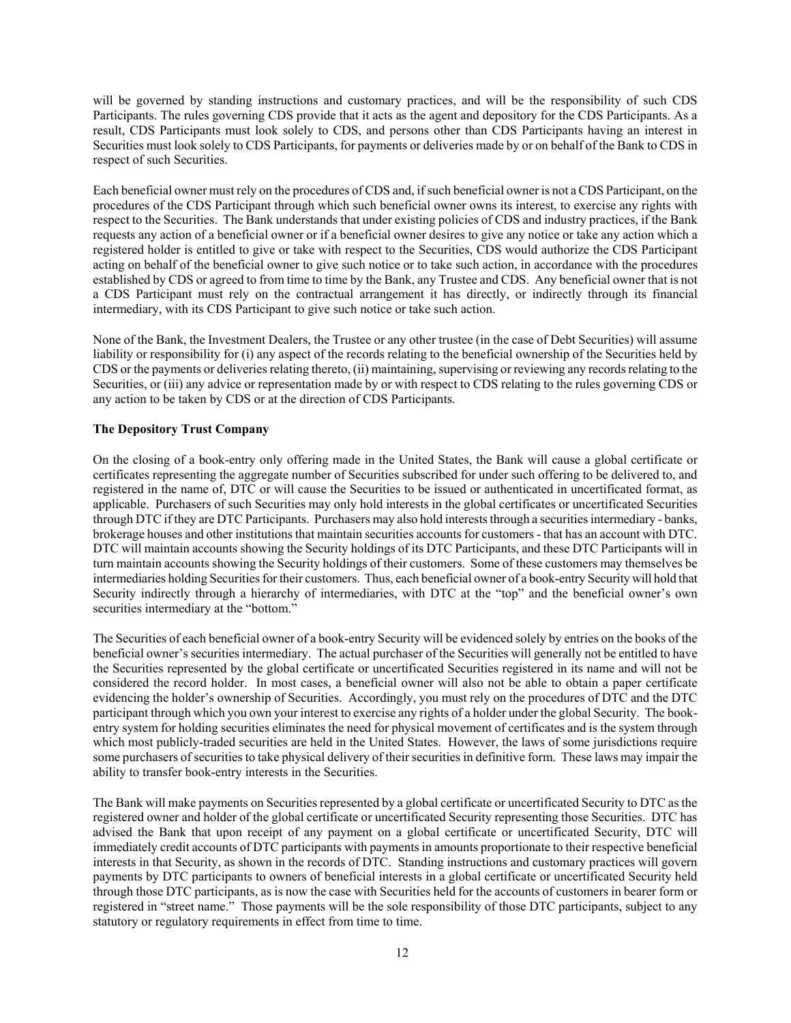will be governed by standing instructions and customary practices, and will be the responsibility of such CDS Participants. The rules governing CDS provide that it acts as the agent and depository for the CDS Participants. As a result, CDS Participants must look solely to CDS, and persons other than CDS Participants having an interest in Securities must look solely to CDS Participants, for payments or deliveries made by or on behalf of the Bank to CDS in respect of such Securities.

Each beneficial owner must rely on the procedures of CDS and, if such beneficial owner is not a CDS Participant, on the procedures of the CDS Participant through which such beneficial owner owns its interest, to exercise any rights with respect to the Securities. The Bank understands that under existing policies of CDS and industry practices, if the Bank requests any action of a beneficial owner or if a beneficial owner desires to give any notice or take any action which a registered holder is entitled to give or take with respect to the Securities, CDS would authorize the CDS Participant acting on behalf of the beneficial owner to give such notice or to take such action, in accordance with the procedures established by CDS or agreed to from time to time by the Bank, any Trustee and CDS. Any beneficial owner that is not a CDS Participant must rely on the contractual arrangement it has directly, or indirectly through its financial intermediary, with its CDS Participant to give such notice or take such action.

None of the Bank, the Investment Dealers, the Trustee or any other trustee (in the case of Debt Securities) will assume liability or responsibility for (i) any aspect of the records relating to the beneficial ownership of the Securities held by CDS or the payments or deliveries relating thereto, (ii) maintaining, supervising or reviewing any records relating to the Securities, or (iii) any advice or representation made by or with respect to CDS relating to the rules governing CDS or any action to be taken by CDS or at the direction of CDS Participants.

# **The Depository Trust Company**

On the closing of a book-entry only offering made in the United States, the Bank will cause a global certificate or certificates representing the aggregate number of Securities subscribed for under such offering to be delivered to, and registered in the name of, DTC or will cause the Securities to be issued or authenticated in uncertificated format, as applicable. Purchasers of such Securities may only hold interests in the global certificates or uncertificated Securities through DTC if they are DTC Participants. Purchasers may also hold interests through a securities intermediary - banks, brokerage houses and other institutions that maintain securities accounts for customers - that has an account with DTC. DTC will maintain accounts showing the Security holdings of its DTC Participants, and these DTC Participants will in turn maintain accounts showing the Security holdings of their customers. Some of these customers may themselves be intermediaries holding Securities for their customers. Thus, each beneficial owner of a book-entry Security will hold that Security indirectly through a hierarchy of intermediaries, with DTC at the "top" and the beneficial owner's own securities intermediary at the "bottom."

The Securities of each beneficial owner of a book-entry Security will be evidenced solely by entries on the books of the beneficial owner's securities intermediary. The actual purchaser of the Securities will generally not be entitled to have the Securities represented by the global certificate or uncertificated Securities registered in its name and will not be considered the record holder. In most cases, a beneficial owner will also not be able to obtain a paper certificate evidencing the holder's ownership of Securities. Accordingly, you must rely on the procedures of DTC and the DTC participant through which you own your interest to exercise any rights of a holder under the global Security. The bookentry system for holding securities eliminates the need for physical movement of certificates and is the system through which most publicly-traded securities are held in the United States. However, the laws of some jurisdictions require some purchasers of securities to take physical delivery of their securities in definitive form. These laws may impair the ability to transfer book-entry interests in the Securities.

The Bank will make payments on Securities represented by a global certificate or uncertificated Security to DTC as the registered owner and holder of the global certificate or uncertificated Security representing those Securities. DTC has advised the Bank that upon receipt of any payment on a global certificate or uncertificated Security, DTC will immediately credit accounts of DTC participants with payments in amounts proportionate to their respective beneficial interests in that Security, as shown in the records of DTC. Standing instructions and customary practices will govern payments by DTC participants to owners of beneficial interests in a global certificate or uncertificated Security held through those DTC participants, as is now the case with Securities held for the accounts of customers in bearer form or registered in "street name." Those payments will be the sole responsibility of those DTC participants, subject to any statutory or regulatory requirements in effect from time to time.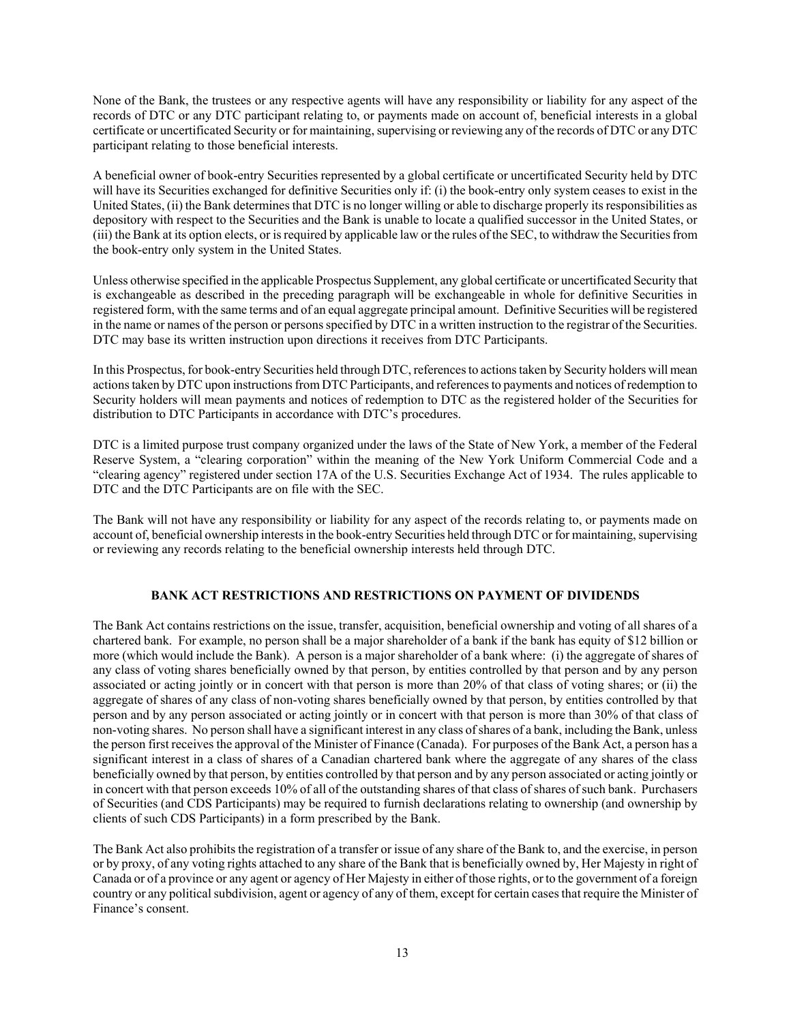None of the Bank, the trustees or any respective agents will have any responsibility or liability for any aspect of the records of DTC or any DTC participant relating to, or payments made on account of, beneficial interests in a global certificate or uncertificated Security or for maintaining, supervising or reviewing any of the records of DTC or any DTC participant relating to those beneficial interests.

A beneficial owner of book-entry Securities represented by a global certificate or uncertificated Security held by DTC will have its Securities exchanged for definitive Securities only if: (i) the book-entry only system ceases to exist in the United States, (ii) the Bank determines that DTC is no longer willing or able to discharge properly its responsibilities as depository with respect to the Securities and the Bank is unable to locate a qualified successor in the United States, or (iii) the Bank at its option elects, or is required by applicable law or the rules of the SEC, to withdraw the Securities from the book-entry only system in the United States.

Unless otherwise specified in the applicable Prospectus Supplement, any global certificate or uncertificated Security that is exchangeable as described in the preceding paragraph will be exchangeable in whole for definitive Securities in registered form, with the same terms and of an equal aggregate principal amount. Definitive Securities will be registered in the name or names of the person or persons specified by DTC in a written instruction to the registrar of the Securities. DTC may base its written instruction upon directions it receives from DTC Participants.

In this Prospectus, for book-entry Securities held through DTC, references to actions taken by Security holders will mean actions taken by DTC upon instructions from DTC Participants, and references to payments and notices of redemption to Security holders will mean payments and notices of redemption to DTC as the registered holder of the Securities for distribution to DTC Participants in accordance with DTC's procedures.

DTC is a limited purpose trust company organized under the laws of the State of New York, a member of the Federal Reserve System, a "clearing corporation" within the meaning of the New York Uniform Commercial Code and a "clearing agency" registered under section 17A of the U.S. Securities Exchange Act of 1934. The rules applicable to DTC and the DTC Participants are on file with the SEC.

The Bank will not have any responsibility or liability for any aspect of the records relating to, or payments made on account of, beneficial ownership interests in the book-entry Securities held through DTC or for maintaining, supervising or reviewing any records relating to the beneficial ownership interests held through DTC.

# **BANK ACT RESTRICTIONS AND RESTRICTIONS ON PAYMENT OF DIVIDENDS**

The Bank Act contains restrictions on the issue, transfer, acquisition, beneficial ownership and voting of all shares of a chartered bank. For example, no person shall be a major shareholder of a bank if the bank has equity of \$12 billion or more (which would include the Bank). A person is a major shareholder of a bank where: (i) the aggregate of shares of any class of voting shares beneficially owned by that person, by entities controlled by that person and by any person associated or acting jointly or in concert with that person is more than 20% of that class of voting shares; or (ii) the aggregate of shares of any class of non-voting shares beneficially owned by that person, by entities controlled by that person and by any person associated or acting jointly or in concert with that person is more than 30% of that class of non-voting shares. No person shall have a significant interest in any class of shares of a bank, including the Bank, unless the person first receives the approval of the Minister of Finance (Canada). For purposes of the Bank Act, a person has a significant interest in a class of shares of a Canadian chartered bank where the aggregate of any shares of the class beneficially owned by that person, by entities controlled by that person and by any person associated or acting jointly or in concert with that person exceeds 10% of all of the outstanding shares of that class of shares of such bank. Purchasers of Securities (and CDS Participants) may be required to furnish declarations relating to ownership (and ownership by clients of such CDS Participants) in a form prescribed by the Bank.

The Bank Act also prohibits the registration of a transfer or issue of any share of the Bank to, and the exercise, in person or by proxy, of any voting rights attached to any share of the Bank that is beneficially owned by, Her Majesty in right of Canada or of a province or any agent or agency of Her Majesty in either of those rights, or to the government of a foreign country or any political subdivision, agent or agency of any of them, except for certain cases that require the Minister of Finance's consent.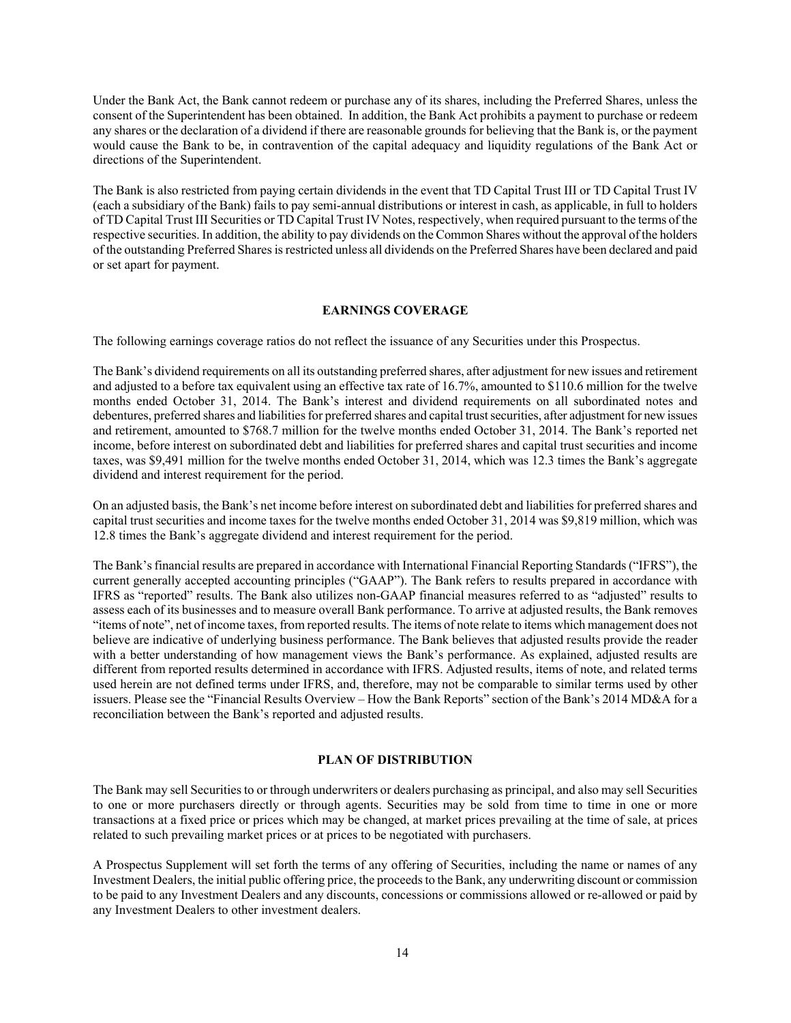Under the Bank Act, the Bank cannot redeem or purchase any of its shares, including the Preferred Shares, unless the consent of the Superintendent has been obtained. In addition, the Bank Act prohibits a payment to purchase or redeem any shares or the declaration of a dividend if there are reasonable grounds for believing that the Bank is, or the payment would cause the Bank to be, in contravention of the capital adequacy and liquidity regulations of the Bank Act or directions of the Superintendent.

The Bank is also restricted from paying certain dividends in the event that TD Capital Trust III or TD Capital Trust IV (each a subsidiary of the Bank) fails to pay semi-annual distributions or interest in cash, as applicable, in full to holders of TD Capital Trust III Securities or TD Capital Trust IV Notes, respectively, when required pursuant to the terms of the respective securities. In addition, the ability to pay dividends on the Common Shares without the approval of the holders of the outstanding Preferred Shares is restricted unless all dividends on the Preferred Shares have been declared and paid or set apart for payment.

#### **EARNINGS COVERAGE**

The following earnings coverage ratios do not reflect the issuance of any Securities under this Prospectus.

The Bank's dividend requirements on all its outstanding preferred shares, after adjustment for new issues and retirement and adjusted to a before tax equivalent using an effective tax rate of 16.7%, amounted to \$110.6 million for the twelve months ended October 31, 2014. The Bank's interest and dividend requirements on all subordinated notes and debentures, preferred shares and liabilities for preferred shares and capital trust securities, after adjustment for new issues and retirement, amounted to \$768.7 million for the twelve months ended October 31, 2014. The Bank's reported net income, before interest on subordinated debt and liabilities for preferred shares and capital trust securities and income taxes, was \$9,491 million for the twelve months ended October 31, 2014, which was 12.3 times the Bank's aggregate dividend and interest requirement for the period.

On an adjusted basis, the Bank's net income before interest on subordinated debt and liabilities for preferred shares and capital trust securities and income taxes for the twelve months ended October 31, 2014 was \$9,819 million, which was 12.8 times the Bank's aggregate dividend and interest requirement for the period.

The Bank's financial results are prepared in accordance with International Financial Reporting Standards ("IFRS"), the current generally accepted accounting principles ("GAAP"). The Bank refers to results prepared in accordance with IFRS as "reported" results. The Bank also utilizes non-GAAP financial measures referred to as "adjusted" results to assess each of its businesses and to measure overall Bank performance. To arrive at adjusted results, the Bank removes "items of note", net of income taxes, from reported results. The items of note relate to items which management does not believe are indicative of underlying business performance. The Bank believes that adjusted results provide the reader with a better understanding of how management views the Bank's performance. As explained, adjusted results are different from reported results determined in accordance with IFRS. Adjusted results, items of note, and related terms used herein are not defined terms under IFRS, and, therefore, may not be comparable to similar terms used by other issuers. Please see the "Financial Results Overview – How the Bank Reports" section of the Bank's 2014 MD&A for a reconciliation between the Bank's reported and adjusted results.

# **PLAN OF DISTRIBUTION**

The Bank may sell Securities to or through underwriters or dealers purchasing as principal, and also may sell Securities to one or more purchasers directly or through agents. Securities may be sold from time to time in one or more transactions at a fixed price or prices which may be changed, at market prices prevailing at the time of sale, at prices related to such prevailing market prices or at prices to be negotiated with purchasers.

A Prospectus Supplement will set forth the terms of any offering of Securities, including the name or names of any Investment Dealers, the initial public offering price, the proceeds to the Bank, any underwriting discount or commission to be paid to any Investment Dealers and any discounts, concessions or commissions allowed or re-allowed or paid by any Investment Dealers to other investment dealers.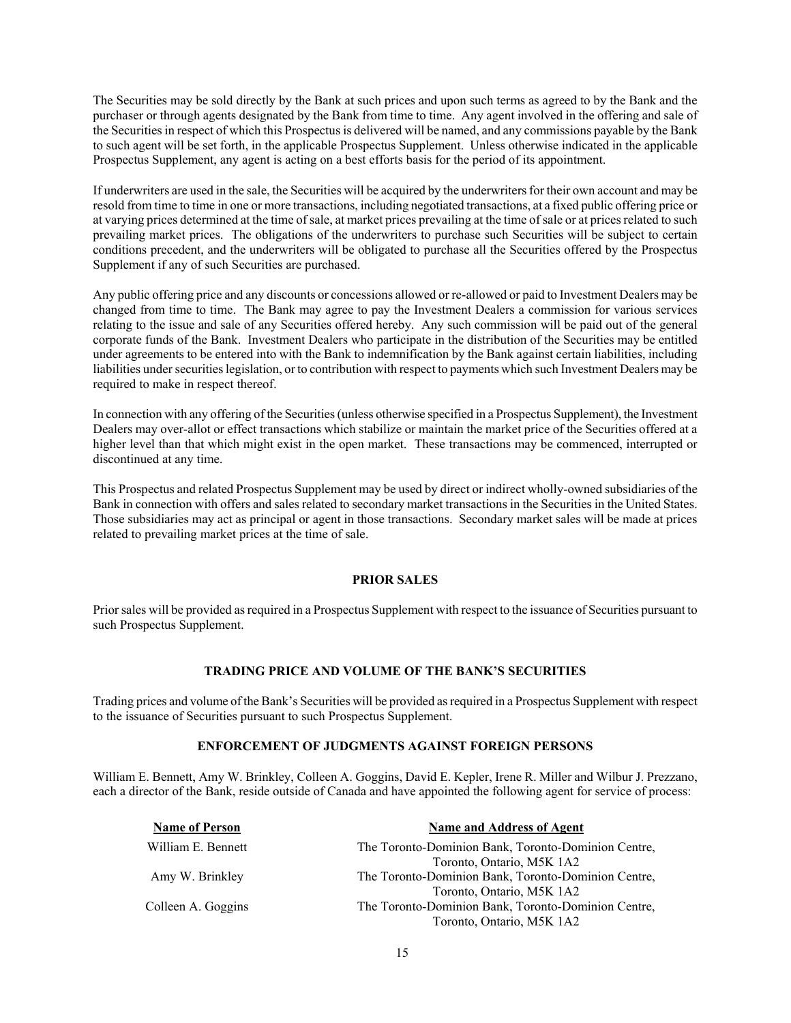The Securities may be sold directly by the Bank at such prices and upon such terms as agreed to by the Bank and the purchaser or through agents designated by the Bank from time to time. Any agent involved in the offering and sale of the Securities in respect of which this Prospectus is delivered will be named, and any commissions payable by the Bank to such agent will be set forth, in the applicable Prospectus Supplement. Unless otherwise indicated in the applicable Prospectus Supplement, any agent is acting on a best efforts basis for the period of its appointment.

If underwriters are used in the sale, the Securities will be acquired by the underwriters for their own account and may be resold from time to time in one or more transactions, including negotiated transactions, at a fixed public offering price or at varying prices determined at the time of sale, at market prices prevailing at the time of sale or at prices related to such prevailing market prices. The obligations of the underwriters to purchase such Securities will be subject to certain conditions precedent, and the underwriters will be obligated to purchase all the Securities offered by the Prospectus Supplement if any of such Securities are purchased.

Any public offering price and any discounts or concessions allowed or re-allowed or paid to Investment Dealers may be changed from time to time. The Bank may agree to pay the Investment Dealers a commission for various services relating to the issue and sale of any Securities offered hereby. Any such commission will be paid out of the general corporate funds of the Bank. Investment Dealers who participate in the distribution of the Securities may be entitled under agreements to be entered into with the Bank to indemnification by the Bank against certain liabilities, including liabilities under securities legislation, or to contribution with respect to payments which such Investment Dealers may be required to make in respect thereof.

In connection with any offering of the Securities (unless otherwise specified in a Prospectus Supplement), the Investment Dealers may over-allot or effect transactions which stabilize or maintain the market price of the Securities offered at a higher level than that which might exist in the open market. These transactions may be commenced, interrupted or discontinued at any time.

This Prospectus and related Prospectus Supplement may be used by direct or indirect wholly-owned subsidiaries of the Bank in connection with offers and sales related to secondary market transactions in the Securities in the United States. Those subsidiaries may act as principal or agent in those transactions. Secondary market sales will be made at prices related to prevailing market prices at the time of sale.

# **PRIOR SALES**

Prior sales will be provided as required in a Prospectus Supplement with respect to the issuance of Securities pursuant to such Prospectus Supplement.

# **TRADING PRICE AND VOLUME OF THE BANK'S SECURITIES**

Trading prices and volume of the Bank's Securities will be provided as required in a Prospectus Supplement with respect to the issuance of Securities pursuant to such Prospectus Supplement.

# **ENFORCEMENT OF JUDGMENTS AGAINST FOREIGN PERSONS**

William E. Bennett, Amy W. Brinkley, Colleen A. Goggins, David E. Kepler, Irene R. Miller and Wilbur J. Prezzano, each a director of the Bank, reside outside of Canada and have appointed the following agent for service of process:

| <b>Name of Person</b> | <b>Name and Address of Agent</b>                    |
|-----------------------|-----------------------------------------------------|
| William E. Bennett    | The Toronto-Dominion Bank, Toronto-Dominion Centre, |
|                       | Toronto, Ontario, M5K 1A2                           |
| Amy W. Brinkley       | The Toronto-Dominion Bank, Toronto-Dominion Centre, |
|                       | Toronto, Ontario, M5K 1A2                           |
| Colleen A. Goggins    | The Toronto-Dominion Bank, Toronto-Dominion Centre, |
|                       | Toronto, Ontario, M5K 1A2                           |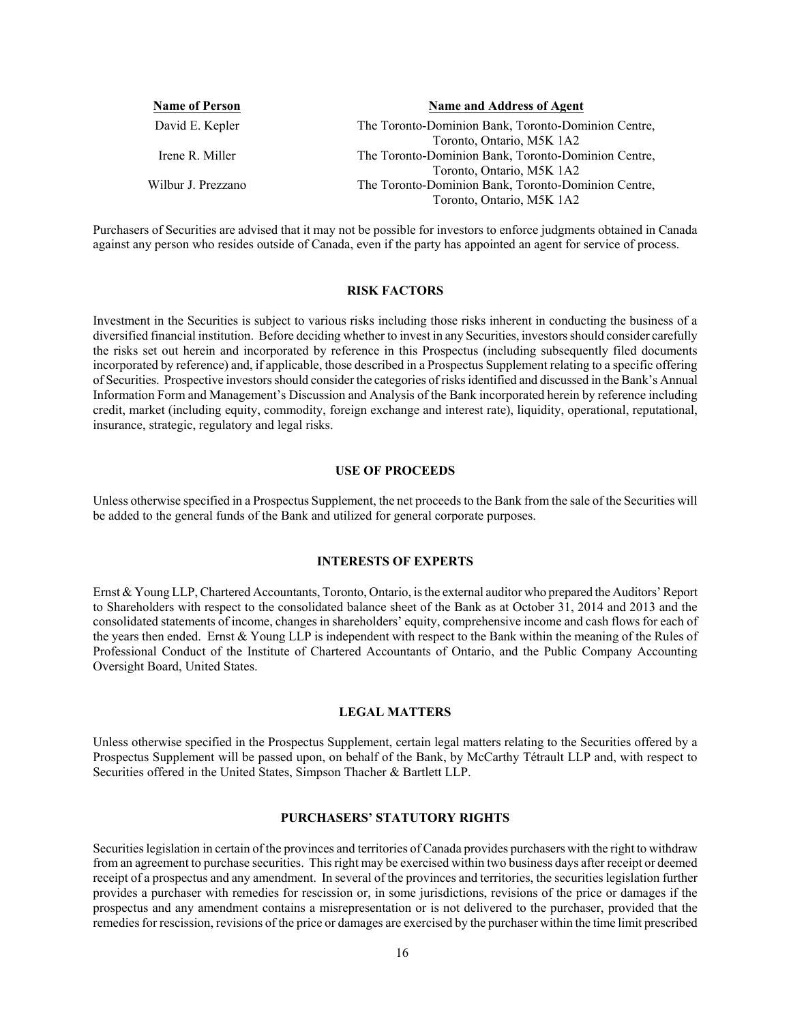| <b>Name of Person</b> | <b>Name and Address of Agent</b>                    |
|-----------------------|-----------------------------------------------------|
| David E. Kepler       | The Toronto-Dominion Bank, Toronto-Dominion Centre, |
|                       | Toronto, Ontario, M5K 1A2                           |
| Irene R. Miller       | The Toronto-Dominion Bank, Toronto-Dominion Centre, |
|                       | Toronto, Ontario, M5K 1A2                           |
| Wilbur J. Prezzano    | The Toronto-Dominion Bank, Toronto-Dominion Centre, |
|                       | Toronto, Ontario, M5K 1A2                           |

Purchasers of Securities are advised that it may not be possible for investors to enforce judgments obtained in Canada against any person who resides outside of Canada, even if the party has appointed an agent for service of process.

#### **RISK FACTORS**

Investment in the Securities is subject to various risks including those risks inherent in conducting the business of a diversified financial institution. Before deciding whether to invest in any Securities, investors should consider carefully the risks set out herein and incorporated by reference in this Prospectus (including subsequently filed documents incorporated by reference) and, if applicable, those described in a Prospectus Supplement relating to a specific offering of Securities. Prospective investors should consider the categories of risks identified and discussed in the Bank's Annual Information Form and Management's Discussion and Analysis of the Bank incorporated herein by reference including credit, market (including equity, commodity, foreign exchange and interest rate), liquidity, operational, reputational, insurance, strategic, regulatory and legal risks.

## **USE OF PROCEEDS**

Unless otherwise specified in a Prospectus Supplement, the net proceeds to the Bank from the sale of the Securities will be added to the general funds of the Bank and utilized for general corporate purposes.

# **INTERESTS OF EXPERTS**

Ernst & Young LLP, Chartered Accountants, Toronto, Ontario, is the external auditor who prepared the Auditors' Report to Shareholders with respect to the consolidated balance sheet of the Bank as at October 31, 2014 and 2013 and the consolidated statements of income, changes in shareholders' equity, comprehensive income and cash flows for each of the years then ended. Ernst & Young LLP is independent with respect to the Bank within the meaning of the Rules of Professional Conduct of the Institute of Chartered Accountants of Ontario, and the Public Company Accounting Oversight Board, United States.

#### **LEGAL MATTERS**

Unless otherwise specified in the Prospectus Supplement, certain legal matters relating to the Securities offered by a Prospectus Supplement will be passed upon, on behalf of the Bank, by McCarthy Tétrault LLP and, with respect to Securities offered in the United States, Simpson Thacher & Bartlett LLP.

# **PURCHASERS' STATUTORY RIGHTS**

Securities legislation in certain of the provinces and territories of Canada provides purchasers with the right to withdraw from an agreement to purchase securities. This right may be exercised within two business days after receipt or deemed receipt of a prospectus and any amendment. In several of the provinces and territories, the securities legislation further provides a purchaser with remedies for rescission or, in some jurisdictions, revisions of the price or damages if the prospectus and any amendment contains a misrepresentation or is not delivered to the purchaser, provided that the remedies for rescission, revisions of the price or damages are exercised by the purchaser within the time limit prescribed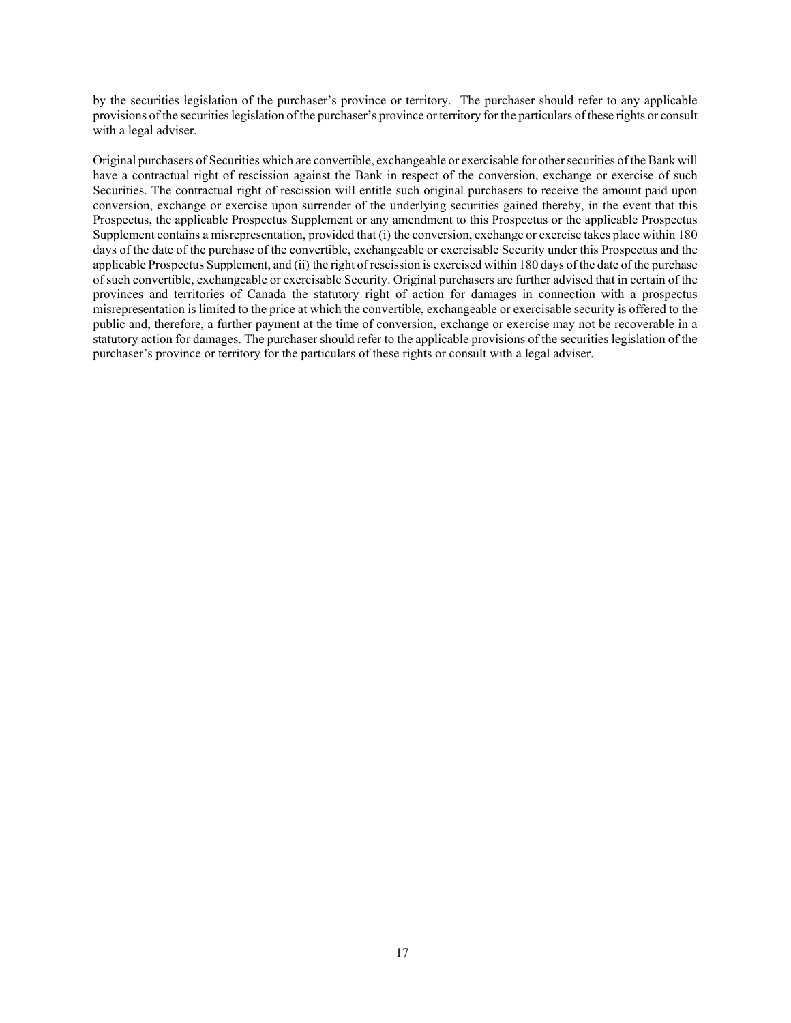by the securities legislation of the purchaser's province or territory. The purchaser should refer to any applicable provisions of the securities legislation of the purchaser's province or territory for the particulars of these rights or consult with a legal adviser.

Original purchasers of Securities which are convertible, exchangeable or exercisable for other securities of the Bank will have a contractual right of rescission against the Bank in respect of the conversion, exchange or exercise of such Securities. The contractual right of rescission will entitle such original purchasers to receive the amount paid upon conversion, exchange or exercise upon surrender of the underlying securities gained thereby, in the event that this Prospectus, the applicable Prospectus Supplement or any amendment to this Prospectus or the applicable Prospectus Supplement contains a misrepresentation, provided that (i) the conversion, exchange or exercise takes place within 180 days of the date of the purchase of the convertible, exchangeable or exercisable Security under this Prospectus and the applicable Prospectus Supplement, and (ii) the right of rescission is exercised within 180 days of the date of the purchase of such convertible, exchangeable or exercisable Security. Original purchasers are further advised that in certain of the provinces and territories of Canada the statutory right of action for damages in connection with a prospectus misrepresentation is limited to the price at which the convertible, exchangeable or exercisable security is offered to the public and, therefore, a further payment at the time of conversion, exchange or exercise may not be recoverable in a statutory action for damages. The purchaser should refer to the applicable provisions of the securities legislation of the purchaser's province or territory for the particulars of these rights or consult with a legal adviser.